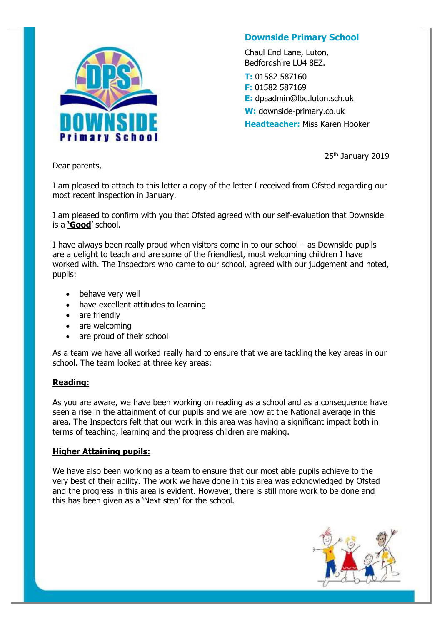

## **Downside Primary School**

Chaul End Lane, Luton, Bedfordshire LU4 8EZ.

**T:** 01582 587160 **F:** 01582 587169 **E:** dpsadmin@lbc.luton.sch.uk **W:** downside-primary.co.uk **Headteacher:** Miss Karen Hooker

25th January 2019

Dear parents,

I am pleased to attach to this letter a copy of the letter I received from Ofsted regarding our most recent inspection in January.

I am pleased to confirm with you that Ofsted agreed with our self-evaluation that Downside is a **'Good**' school.

I have always been really proud when visitors come in to our school – as Downside pupils are a delight to teach and are some of the friendliest, most welcoming children I have worked with. The Inspectors who came to our school, agreed with our judgement and noted, pupils:

- behave very well
- have excellent attitudes to learning
- are friendly
- are welcoming
- are proud of their school

As a team we have all worked really hard to ensure that we are tackling the key areas in our school. The team looked at three key areas:

## **Reading:**

As you are aware, we have been working on reading as a school and as a consequence have seen a rise in the attainment of our pupils and we are now at the National average in this area. The Inspectors felt that our work in this area was having a significant impact both in terms of teaching, learning and the progress children are making.

## **Higher Attaining pupils:**

We have also been working as a team to ensure that our most able pupils achieve to the very best of their ability. The work we have done in this area was acknowledged by Ofsted and the progress in this area is evident. However, there is still more work to be done and this has been given as a 'Next step' for the school.